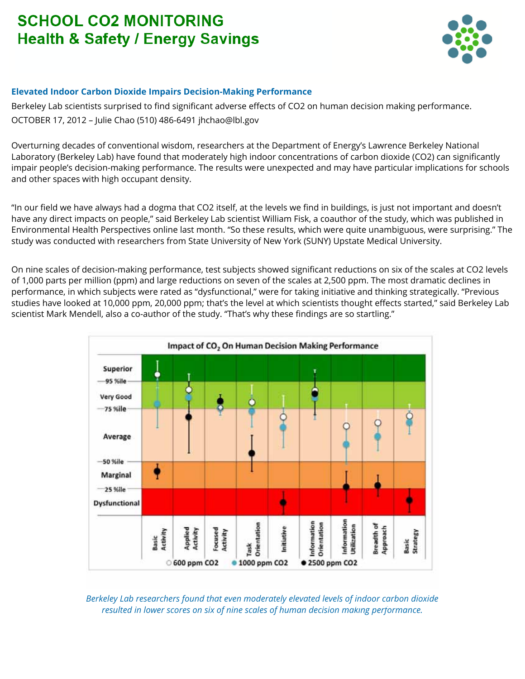## **SCHOOL CO2 MONITORING Health & Safety / Energy Savings**



## **Elevated Indoor Carbon Dioxide Impairs Decision-Making Performance**

Berkeley Lab scientists surprised to find significant adverse effects of CO2 on human decision making performance. OCTOBER 17, 2012 – Julie Chao (510) 486-6491 jhchao@lbl.gov

Overturning decades of conventional wisdom, researchers at the Department of Energy's Lawrence Berkeley National Laboratory (Berkeley Lab) have found that moderately high indoor concentrations of carbon dioxide (CO2) can significantly impair people's decision-making performance. The results were unexpected and may have particular implications for schools and other spaces with high occupant density.

"In our field we have always had a dogma that CO2 itself, at the levels we find in buildings, is just not important and doesn't have any direct impacts on people," said Berkeley Lab scientist William Fisk, a coauthor of the study, which was published in Environmental Health Perspectives online last month. "So these results, which were quite unambiguous, were surprising." The study was conducted with researchers from State University of New York (SUNY) Upstate Medical University.

On nine scales of decision-making performance, test subjects showed significant reductions on six of the scales at CO2 levels of 1,000 parts per million (ppm) and large reductions on seven of the scales at 2,500 ppm. The most dramatic declines in performance, in which subjects were rated as "dysfunctional," were for taking initiative and thinking strategically. "Previous studies have looked at 10,000 ppm, 20,000 ppm; that's the level at which scientists thought effects started," said Berkeley Lab scientist Mark Mendell, also a co-author of the study. "That's why these findings are so startling."



*Berkeley Lab researchers found that even moderately elevated levels of indoor carbon dioxide resulted in lower scores on six of nine scales of human decision making performance.*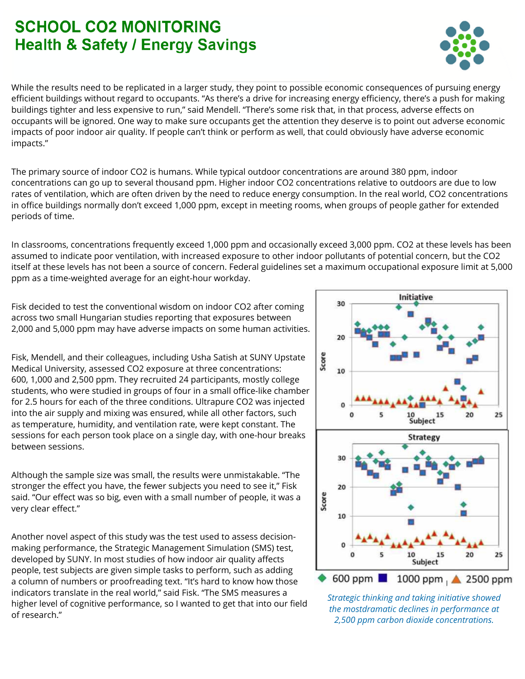## **SCHOOL CO2 MONTURING Health & Safety / Energy Savings**

While the results need to be replicated in a larger study, they point to possible economic consequences of pursuing energy efficient buildings without regard to occupants. "As there's a drive for increasing energy efficiency, there's a push for making buildings tighter and less expensive to run," said Mendell. "There's some risk that, in that process, adverse effects on occupants will be ignored. One way to make sure occupants get the attention they deserve is to point out adverse economic impacts of poor indoor air quality. If people can't think or perform as well, that could obviously have adverse economic impacts."

The primary source of indoor CO2 is humans. While typical outdoor concentrations are around 380 ppm, indoor concentrations can go up to several thousand ppm. Higher indoor CO2 concentrations relative to outdoors are due to low rates of ventilation, which are often driven by the need to reduce energy consumption. In the real world, CO2 concentrations in office buildings normally don't exceed 1,000 ppm, except in meeting rooms, when groups of people gather for extended periods of time.

In classrooms, concentrations frequently exceed 1,000 ppm and occasionally exceed 3,000 ppm. CO2 at these levels has been assumed to indicate poor ventilation, with increased exposure to other indoor pollutants of potential concern, but the CO2 itself at these levels has not been a source of concern. Federal guidelines set a maximum occupational exposure limit at 5,000 ppm as a time-weighted average for an eight-hour workday.

Fisk decided to test the conventional wisdom on indoor CO2 after coming across two small Hungarian studies reporting that exposures between 2,000 and 5,000 ppm may have adverse impacts on some human activities.

Fisk, Mendell, and their colleagues, including Usha Satish at SUNY Upstate Medical University, assessed CO2 exposure at three concentrations: 600, 1,000 and 2,500 ppm. They recruited 24 participants, mostly college students, who were studied in groups of four in a small office-like chamber for 2.5 hours for each of the three conditions. Ultrapure CO2 was injected into the air supply and mixing was ensured, while all other factors, such as temperature, humidity, and ventilation rate, were kept constant. The sessions for each person took place on a single day, with one-hour breaks between sessions.

Although the sample size was small, the results were unmistakable. "The stronger the effect you have, the fewer subjects you need to see it," Fisk said. "Our effect was so big, even with a small number of people, it was a very clear effect."

Another novel aspect of this study was the test used to assess decisionmaking performance, the Strategic Management Simulation (SMS) test, developed by SUNY. In most studies of how indoor air quality affects people, test subjects are given simple tasks to perform, such as adding a column of numbers or proofreading text. "It's hard to know how those indicators translate in the real world," said Fisk. "The SMS measures a higher level of cognitive performance, so I wanted to get that into our field of research."



Initiative

30

 $2($ 

10

Score